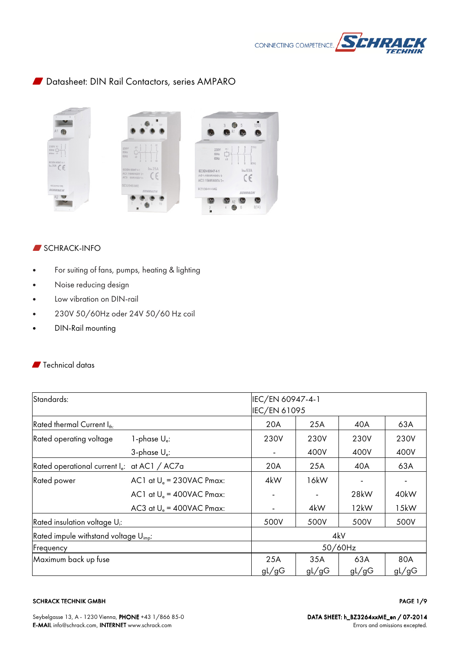

# W Datasheet: DIN Rail Contactors, series AMPARO



#### $\blacksquare$  SCHRACK-INFO

- For suiting of fans, pumps, heating & lighting
- Noise reducing design
- Low vibration on DIN-rail
- 230V 50/60Hz oder 24V 50/60 Hz coil
- DIN-Rail mounting

## **W** Technical datas

| Standards:                                        |                              |              | IEC/EN 60947-4-1 |         |       |  |  |
|---------------------------------------------------|------------------------------|--------------|------------------|---------|-------|--|--|
|                                                   |                              | IEC/EN 61095 |                  |         |       |  |  |
| Rated thermal Current Ith:                        |                              | 20A          | 25A              | 40A     | 63A   |  |  |
| Rated operating voltage<br>1-phase $U_{e}$ :      |                              | 230V         | 230V             | 230V    | 230V  |  |  |
|                                                   | 3-phase $U_e$ :              |              | 400V             | 400V    | 400V  |  |  |
| Rated operational current $I_{e}$ : at AC1 / AC7a |                              | 20A          | 25A              | 40A     | 63A   |  |  |
| Rated power                                       | AC1 at $U_e = 230$ VAC Pmax: | 4kW          | 16kW             |         |       |  |  |
|                                                   | AC1 at $U_e = 400$ VAC Pmax: |              |                  | 28kW    | 40kW  |  |  |
|                                                   | AC3 at $U_e = 400$ VAC Pmax: |              | 4kW              | 12kW    | 15kW  |  |  |
| Rated insulation voltage U <sub>i</sub> :         |                              | 500V         | 500V             | 500V    | 500V  |  |  |
| Rated impule withstand voltage $U_{\text{im}}$ :  |                              |              | 4kV              |         |       |  |  |
| Frequency                                         |                              |              |                  | 50/60Hz |       |  |  |
| Maximum back up fuse                              |                              | 25A          | 35A              | 63A     | 80A   |  |  |
|                                                   |                              | gL/gG        | gL/gG            | gL/gG   | gL/gG |  |  |

#### SCHRACK TECHNIK GMBH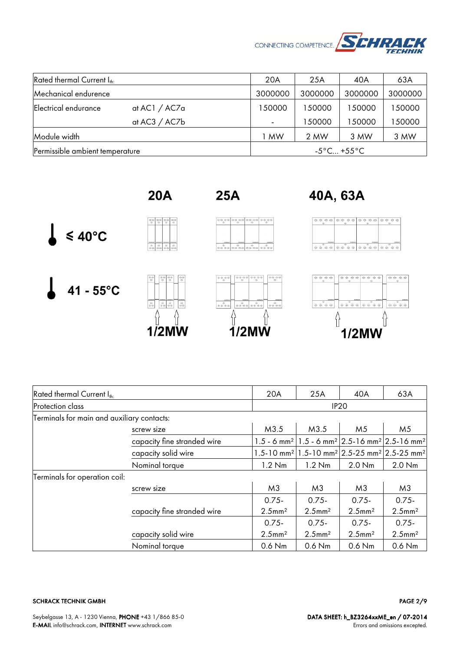

| Rated thermal Current Ith       |                 | 20A                      | 25A     | 40A                             | 63A     |
|---------------------------------|-----------------|--------------------------|---------|---------------------------------|---------|
| Mechanical endurence            |                 | 3000000                  | 3000000 | 3000000                         | 3000000 |
| Electrical endurance            | at $AC1 / AC7a$ | 150000                   | 150000  | 150000                          | 150000  |
|                                 | at $AC3 / AC7b$ | $\overline{\phantom{a}}$ | 150000  | 150000                          | 150000  |
| Module width                    |                 | MW                       | 2 MW    | 3 MW                            | 3 MW    |
| Permissible ambient temperature |                 |                          |         | $-5^{\circ}$ C +55 $^{\circ}$ C |         |

 $\leq 40^{\circ}$ C

 $41 - 55^{\circ}C$ 



 $\begin{array}{|c|c|c|c|c|}\hline \phi & \phi & \phi & \phi\phi \\ \hline \phi & \phi & \phi & \phi \end{array}$ 

 $\frac{\theta}{\theta \dot{\theta}}$   $\frac{\theta}{\theta \dot{\theta}}$  $\frac{a}{2a}$ 

 $\begin{array}{|c|c|} \hline \phi & \phi \phi \\ \hline \phi & \phi \end{array}$  $\frac{\partial \phi}{\partial \phi}$ 

 $\begin{smallmatrix} 0&&0\\ 0&0&0&0 \end{smallmatrix}$ 

 $1/2$ MW

 $\frac{\Theta}{\Theta\, \Theta}$ 

 $\frac{1}{2}$ 

8

**25A** 

 $\theta$   $\beta$ 

 $\begin{smallmatrix}&&\ddots\\0&0&0&0&0\end{smallmatrix}$ 

⇧

 $0.0000$ 

 $\begin{smallmatrix}&&6\\0&0&0&0&0\end{smallmatrix}$ 

{}

 $\overline{\mathcal{O}}$ 

 $1/2$ MW







| Rated thermal Current $I_{th}$             |                             | 20A                   | 25A                   | 40A                                                                                                     | 63A                   |  |
|--------------------------------------------|-----------------------------|-----------------------|-----------------------|---------------------------------------------------------------------------------------------------------|-----------------------|--|
| Protection class                           |                             | IP <sub>20</sub>      |                       |                                                                                                         |                       |  |
| Terminals for main and auxiliary contacts: |                             |                       |                       |                                                                                                         |                       |  |
|                                            | screw size                  |                       | M3.5                  | M <sub>5</sub>                                                                                          | M <sub>5</sub>        |  |
|                                            | capacity fine stranded wire |                       |                       | 1.5 - 6 mm <sup>2</sup>   1.5 - 6 mm <sup>2</sup>   2.5 - 16 mm <sup>2</sup>   2.5 - 16 mm <sup>2</sup> |                       |  |
| capacity solid wire                        |                             |                       |                       | 1.5-10 mm <sup>2</sup> 1.5-10 mm <sup>2</sup> 2.5-25 mm <sup>2</sup> 2.5-25 mm <sup>2</sup>             |                       |  |
| Nominal torque                             |                             | $1.2$ Nm              | $1.2$ Nm              | $2.0$ Nm                                                                                                | 2.0 Nm                |  |
| Terminals for operation coil:              |                             |                       |                       |                                                                                                         |                       |  |
|                                            | screw size                  | M <sub>3</sub>        | M <sub>3</sub>        | M <sub>3</sub>                                                                                          | M <sub>3</sub>        |  |
|                                            |                             | $0.75 -$              | $0.75 -$              | $0.75 -$                                                                                                | $0.75 -$              |  |
|                                            | capacity fine stranded wire | $2.5$ mm <sup>2</sup> | $2.5$ mm <sup>2</sup> | $2.5$ mm <sup>2</sup>                                                                                   | $2.5$ mm <sup>2</sup> |  |
|                                            |                             | $0.75 -$              | $0.75 -$              | $0.75 -$                                                                                                | $0.75 -$              |  |
|                                            | capacity solid wire         | $2.5$ mm <sup>2</sup> | $2.5$ mm <sup>2</sup> | $2.5$ mm <sup>2</sup>                                                                                   | $2.5$ mm <sup>2</sup> |  |
|                                            | Nominal torque              | $0.6$ Nm              | 0.6 Nm                | 0.6 Nm                                                                                                  | $0.6$ Nm              |  |

SCHRACK TECHNIK GMBH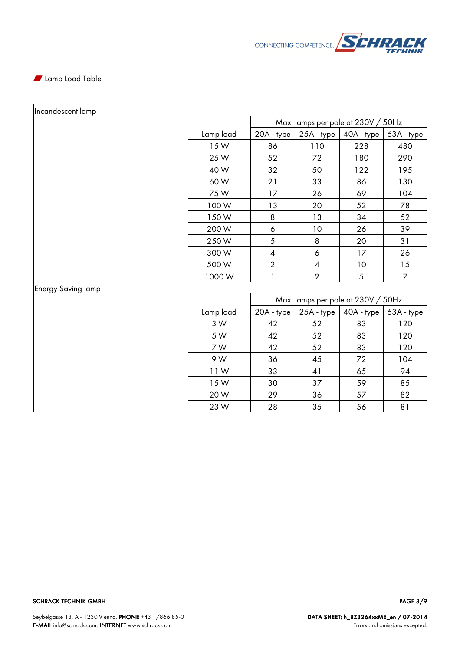

#### **N** Lamp Load Table

 $\mathbf{r}$ 

| Incandescent lamp         |           |                                    |                                    |                         |                  |  |
|---------------------------|-----------|------------------------------------|------------------------------------|-------------------------|------------------|--|
|                           |           | Max. lamps per pole at 230V / 50Hz |                                    |                         |                  |  |
|                           | Lamp load | 20A - type                         |                                    | $25A - type$ 40A - type | 63A - type       |  |
|                           | 15W       | 86                                 | 110                                | 228                     | 480              |  |
|                           | 25 W      | 52                                 | 72                                 | 180                     | 290              |  |
|                           | 40 W      | 32                                 | 50                                 | 122                     | 195              |  |
|                           | 60W       | 21                                 | 33                                 | 86                      | 130              |  |
|                           | 75W       | 17                                 | 26                                 | 69                      | 104              |  |
|                           | 100W      | 13                                 | 20                                 | 52                      | 78               |  |
|                           | 150W      | 8                                  | 13                                 | 34                      | 52               |  |
|                           | 200W      | 6                                  | $10$                               | 26                      | 39               |  |
|                           | 250W      | 5                                  | $\,8\,$                            | 20                      | 31               |  |
|                           | 300W      | $\pmb{4}$                          | 6                                  | 17                      | 26               |  |
|                           | 500W      | $\overline{2}$                     | $\overline{\mathcal{A}}$           | 10                      | 15               |  |
|                           | 1000W     | 1                                  | $\overline{2}$                     | $\sqrt{5}$              | $\boldsymbol{7}$ |  |
| <b>Energy Saving lamp</b> |           |                                    |                                    |                         |                  |  |
|                           |           |                                    | Max. lamps per pole at 230V / 50Hz |                         |                  |  |
|                           | Lamp load | 20A - type                         | 25A - type                         | 40A - type              | 63A - type       |  |
|                           | 3 W       | 42                                 | 52                                 | 83                      | 120              |  |
|                           | 5 W       | 42                                 | 52                                 | 83                      | 120              |  |
|                           | 7 W       | 42                                 | 52                                 | 83                      | 120              |  |
|                           | 9 W       | 36                                 | 45                                 | 72                      | 104              |  |
|                           | 11W       | 33                                 | 41                                 | 65                      | 94               |  |
|                           | 15W       | 30                                 | 37                                 | 59                      | 85               |  |
|                           | 20W       | 29                                 | 36                                 | 57                      | 82               |  |
|                           | 23W       | 28                                 | 35                                 | 56                      | 81               |  |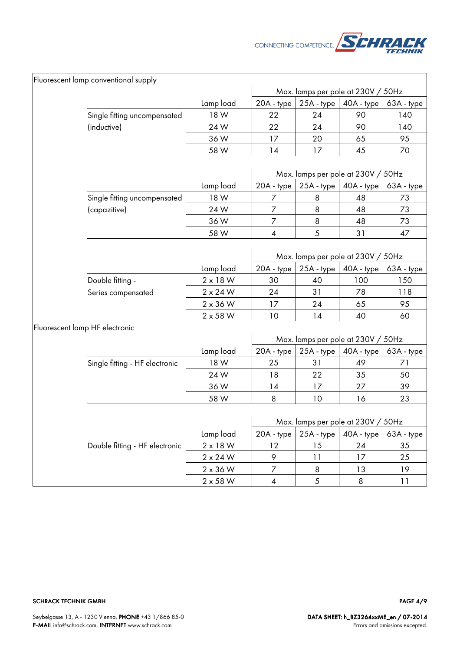

| Fluorescent lamp conventional supply |                   |                  |                  |                                    |                   |
|--------------------------------------|-------------------|------------------|------------------|------------------------------------|-------------------|
|                                      |                   |                  |                  | Max. lamps per pole at 230V / 50Hz |                   |
| Single fitting uncompensated         | Lamp load<br>18 W | 20A - type<br>22 | 25A - type<br>24 | 40A - type<br>90                   | 63A - type<br>140 |
| (inductive)                          | 24W               | 22               | 24               | 90                                 | 140               |
|                                      | 36W               | 17               | 20               | 65                                 | 95                |
|                                      | 58 W              | 14               | 17               | 45                                 | 70                |
|                                      |                   |                  |                  |                                    |                   |
|                                      |                   |                  |                  | Max. lamps per pole at 230V / 50Hz |                   |
|                                      | Lamp load         | 20A - type       | 25A - type       | 40A - type                         | 63A - type        |
| Single fitting uncompensated         | 18 W              | 7                | 8                | 48                                 | 73                |
| (capazitive)                         | 24 W              | $\overline{7}$   | 8                | 48                                 | 73                |
|                                      | 36W               | $\overline{7}$   | 8                | 48                                 | 73                |
|                                      | 58 W              | 4                | $\sqrt{5}$       | 31                                 | 47                |
|                                      |                   |                  |                  | Max. lamps per pole at 230V / 50Hz |                   |
|                                      | Lamp load         | 20A - type       | 25A - type       | 40A - type                         | 63A - type        |
| Double fitting -                     | $2 \times 18$ W   | 30               | 40               | 100                                | 150               |
| Series compensated                   | $2 \times 24$ W   | 24               | 31               | 78                                 | 118               |
|                                      | $2 \times 36$ W   | 17               | 24               | 65                                 | 95                |
|                                      | $2 \times 58$ W   | 10               | 14               | 40                                 | 60                |
| Fluorescent lamp HF electronic       |                   |                  |                  | Max. lamps per pole at 230V / 50Hz |                   |
|                                      | Lamp load         | 20A - type       | $25A - type$     | 40A - type                         | 63A - type        |
| Single fitting - HF electronic       | 18 W              | 25               | 31               | 49                                 | 71                |
|                                      | 24W               | 18               | 22               | 35                                 | 50                |
|                                      | 36W               | 14               | 17               | 27                                 | 39                |
|                                      | 58 W              | 8                | 10               | 16                                 | 23                |
|                                      |                   |                  |                  |                                    |                   |
|                                      |                   |                  |                  | Max. lamps per pole at 230V / 50Hz |                   |
|                                      | Lamp load         | 20A - type       | 25A - type       | 40A - type                         | 63A - type        |
| Double fitting - HF electronic       | $2 \times 18$ W   | 12               | 15               | 24                                 | 35                |
|                                      | $2 \times 24$ W   | 9                | 11               | 17                                 | 25                |
|                                      | $2 \times 36$ W   | $\boldsymbol{7}$ | 8                | 13                                 | 19                |
|                                      | $2 \times 58$ W   | 4                | $\sqrt{5}$       | 8                                  | 11                |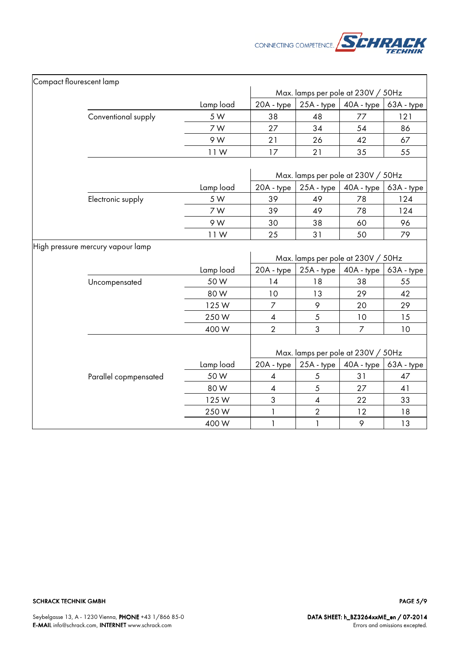

| Compact flourescent lamp |                                   |           |                |                          |                                    |            |
|--------------------------|-----------------------------------|-----------|----------------|--------------------------|------------------------------------|------------|
|                          |                                   |           |                |                          | Max. lamps per pole at 230V / 50Hz |            |
|                          |                                   | Lamp load | 20A - type     | 25A - type               | 40A - type                         | 63A - type |
|                          | Conventional supply               | 5 W       | 38             | 48                       | 77                                 | 121        |
|                          |                                   | 7 W       | 27             | 34                       | 54                                 | 86         |
|                          |                                   | 9 W       | 21             | 26                       | 42                                 | 67         |
|                          |                                   | 11W       | 17             | 21                       | 35                                 | 55         |
|                          |                                   |           |                |                          | Max. lamps per pole at 230V / 50Hz |            |
|                          |                                   | Lamp load | 20A - type     | 25A - type               | 40A - type                         | 63A - type |
|                          | Electronic supply                 | 5 W       | 39             | 49                       | 78                                 | 124        |
|                          |                                   | 7 W       | 39             | 49                       | 78                                 | 124        |
|                          |                                   | 9 W       | 30             | 38                       | 60                                 | 96         |
|                          |                                   | 11W       | 25             | 31                       | 50                                 | 79         |
|                          | High pressure mercury vapour lamp |           |                |                          | Max. lamps per pole at 230V / 50Hz |            |
|                          |                                   | Lamp load | 20A - type     | 25A - type               | 40A - type                         | 63A - type |
|                          | Uncompensated                     | 50W       | 14             | 18                       | 38                                 | 55         |
|                          |                                   | 80 W      | 10             | 13                       | 29                                 | 42         |
|                          |                                   | 125W      | $\overline{7}$ | 9                        | 20                                 | 29         |
|                          |                                   | 250W      | 4              | $\sqrt{5}$               | 10                                 | 15         |
|                          |                                   | 400W      | $\overline{2}$ | 3                        | $\overline{7}$                     | 10         |
|                          |                                   |           |                |                          | Max. lamps per pole at 230V / 50Hz |            |
|                          |                                   | Lamp load | 20A - type     | 25A - type               | 40A - type                         | 63A - type |
|                          | Parallel copmpensated             | 50W       | 4              | 5                        | 31                                 | 47         |
|                          |                                   | 80W       | 4              | $\sqrt{5}$               | 27                                 | 41         |
|                          |                                   | 125W      | 3              | $\overline{\mathcal{A}}$ | 22                                 | 33         |
|                          |                                   | 250W      | 1              | $\sqrt{2}$               | 12                                 | 18         |
|                          |                                   | 400W      | $\mathbf{1}$   | $\mathbf{1}$             | 9                                  | 13         |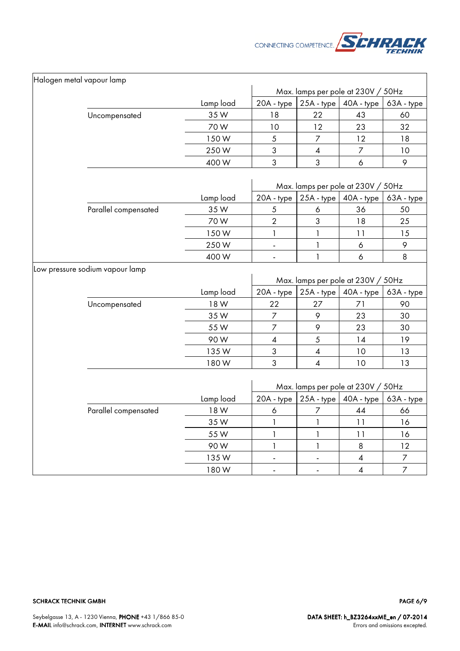

| Halogen metal vapour lamp |                                 |                   |                          |                           |                                    |                  |
|---------------------------|---------------------------------|-------------------|--------------------------|---------------------------|------------------------------------|------------------|
|                           |                                 |                   |                          |                           | Max. lamps per pole at 230V / 50Hz |                  |
|                           |                                 | Lamp load         | 20A - type               | $25A - type$              | 40A - type                         | 63A - type       |
|                           | Uncompensated                   | 35W               | 18                       | 22                        | 43                                 | 60               |
|                           |                                 | 70W               | 10                       | 12                        | 23                                 | 32               |
|                           |                                 | 150W              | $\sqrt{5}$               | $\overline{7}$            | 12                                 | 18               |
|                           |                                 | 250W              | $\sqrt{3}$               | $\overline{\mathcal{A}}$  | 7                                  | 10               |
|                           |                                 | 400W              | 3                        | 3                         | 6                                  | 9                |
|                           |                                 |                   |                          |                           |                                    |                  |
|                           |                                 |                   |                          |                           | Max. lamps per pole at 230V / 50Hz |                  |
|                           |                                 | Lamp load         | 20A - type               |                           | $25A - type$ 40A - type            | 63A - type       |
|                           | Parallel compensated            | 35W               | 5                        | 6                         | 36                                 | 50               |
|                           |                                 | 70W               | $\sqrt{2}$               | $\ensuremath{\mathsf{3}}$ | 18                                 | 25               |
|                           |                                 | 150W              | $\mathbf{1}$             | 1                         | 11                                 | 15               |
|                           |                                 | 250W              | $\overline{\phantom{a}}$ | $\mathbf{1}$              | $\acute{\rm{o}}$                   | 9                |
|                           |                                 | 400W              | $\overline{\phantom{a}}$ | 1                         | 6                                  | 8                |
|                           | Low pressure sodium vapour lamp |                   |                          |                           | Max. lamps per pole at 230V / 50Hz |                  |
|                           |                                 |                   |                          |                           |                                    |                  |
|                           |                                 | Lamp load<br>18 W | 20A - type<br>22         | 25A - type<br>27          | 40A - type<br>71                   | 63A - type<br>90 |
|                           | Uncompensated                   | 35W               |                          |                           | 23                                 |                  |
|                           |                                 |                   | $\overline{7}$           | 9                         |                                    | 30               |
|                           |                                 | 55W               | $\boldsymbol{7}$         | 9                         | 23                                 | 30               |
|                           |                                 | 90W               | $\pmb{4}$                | 5                         | 14                                 | 19               |
|                           |                                 | 135W              | 3                        | $\overline{\mathcal{A}}$  | 10                                 | 13               |
|                           |                                 | 180W              | 3                        | $\overline{\mathcal{A}}$  | 10                                 | 13               |
|                           |                                 |                   |                          |                           | Max. lamps per pole at 230V / 50Hz |                  |
|                           |                                 | Lamp load         | 20A - type               | $25A - type$              | 40A - type                         | 63A - type       |
|                           | Parallel compensated            | 18 W              | 6                        | 7                         | 44                                 | 66               |
|                           |                                 | 35W               | $\mathbf{1}$             | $\mathbf{1}$              | 11                                 | 16               |
|                           |                                 | 55 W              | $\mathbf{1}$             | 1                         | 11                                 | 16               |
|                           |                                 | 90W               | $\mathbf{1}$             | 1                         | 8                                  | 12               |
|                           |                                 | 135W              | $\overline{\phantom{a}}$ |                           | 4                                  | 7                |
|                           |                                 | 180W              | $\overline{\phantom{a}}$ | $\blacksquare$            | $\overline{\mathcal{A}}$           | $\overline{7}$   |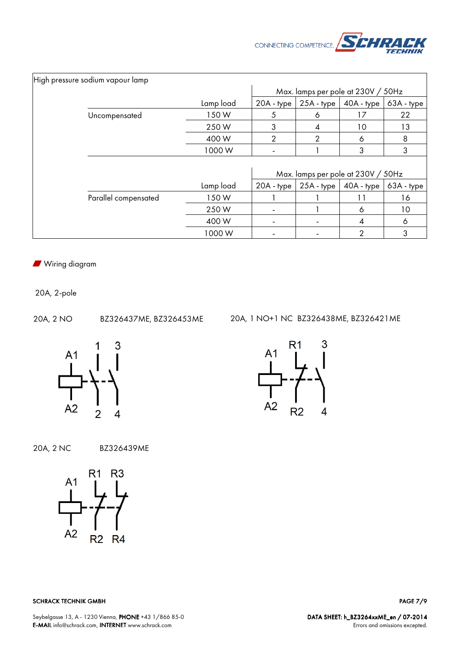

| High pressure sodium vapour lamp |           |                                    |                                    |              |            |
|----------------------------------|-----------|------------------------------------|------------------------------------|--------------|------------|
|                                  |           | Max. lamps per pole at 230V / 50Hz |                                    |              |            |
|                                  | Lamp load | 20A - type                         | $25A - type$                       | $40A - type$ | 63A - type |
| Uncompensated                    | 150W      | 5                                  | 6                                  | 17           | 22         |
|                                  | 250W      | 3                                  | 4                                  | 10           | 13         |
|                                  | 400W      | $\overline{2}$                     | $\overline{2}$                     | 6            | 8          |
|                                  | 1000W     |                                    |                                    | 3            | 3          |
|                                  |           |                                    |                                    |              |            |
|                                  |           |                                    | Max. lamps per pole at 230V / 50Hz |              |            |
|                                  | Lamp load | 20A - type                         | $25A - type$                       | $40A - type$ | 63A - type |
| Parallel compensated             | 150W      |                                    |                                    | 11           | 16         |
|                                  | 250W      |                                    |                                    | 6            | 10         |
|                                  | 400W      |                                    |                                    | 4            | 6          |
|                                  | 1000W     |                                    |                                    | 2            | 3          |

**N** Wiring diagram

20A, 2-pole

20A, 2 NO BZ326437ME, BZ326453ME 20A, 1 NO+1 NC BZ326438ME, BZ326421ME



20A, 2 NC BZ326439ME



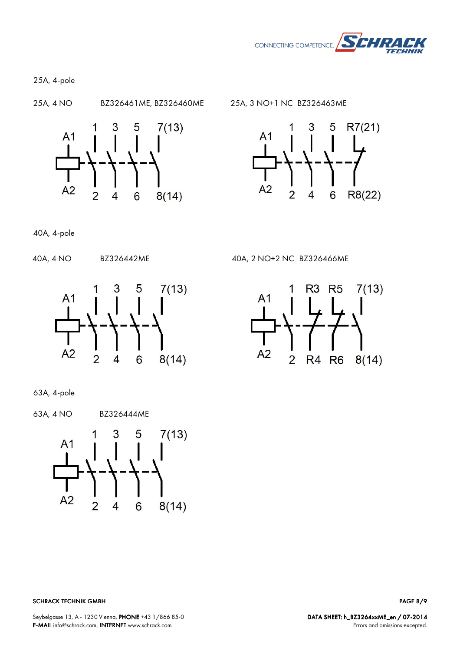

25A, 4-pole





40A, 4-pole



40A, 4 NO BZ326442ME 40A, 2 NO+2 NC BZ326466ME



63A, 4-pole

63A, 4 NO BZ326444ME



PAGE 8/9